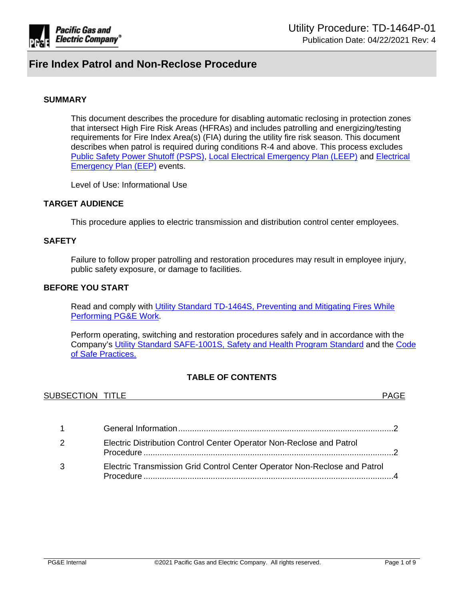

#### **SUMMARY**

This document describes the procedure for disabling automatic reclosing in protection zones that intersect High Fire Risk Areas (HFRAs) and includes patrolling and energizing/testing requirements for Fire Index Area(s) (FIA) during the utility fire risk season. This document describes when patrol is required during conditions R-4 and above. This process excludes [Public Safety Power Shutoff \(PSPS\),](https://ecmappwlsp01c2.comp.pge.com/TILVIEWER?chronicleId=09131aad8c8c9a84&vd=true&device=false) [Local Electrical Emergency Plan \(LEEP\)](https://ecmappwlsp01c2.comp.pge.com/TILVIEWER?chronicleId=09131aad86372a1c&vd=true&device=false) and [Electrical](https://ecmappwlsp01c2.comp.pge.com/TILVIEWER?chronicleId=09131aad86372a1c&vd=true&device=false)  [Emergency Plan \(EEP\)](https://ecmappwlsp01c2.comp.pge.com/TILVIEWER?chronicleId=09131aad86372a1c&vd=true&device=false) events.

Level of Use: Informational Use

### **TARGET AUDIENCE**

This procedure applies to electric transmission and distribution control center employees.

#### **SAFETY**

Failure to follow proper patrolling and restoration procedures may result in employee injury, public safety exposure, or damage to facilities.

### **BEFORE YOU START**

Read and comply with Utility Standard TD-1464S, Preventing and Mitigating Fires While [Performing PG&E Work.](https://ecmappwlsp01c2.comp.pge.com/TILVIEWER?chronicleId=09131aad80e0659e&vd=true&device=false)

Perform operating, switching and restoration procedures safely and in accordance with the Company's [Utility Standard SAFE-1001S, Safety and Health Program Standard](https://ecmappwlsp01c2.comp.pge.com/TILVIEWER?chronicleId=09131aad80dfbb09&vd=false&device=false) and the [Code](http://pgeweb.utility.pge.com/safety/)  [of Safe Practices.](http://pgeweb.utility.pge.com/safety/)

### **TABLE OF CONTENTS**

| <b>SUBSECTION</b><br>TITLE.<br>▏▎▏▏∟⊏ |  |
|---------------------------------------|--|
|                                       |  |

| $1 \quad \Box$ |                                                                           |  |
|----------------|---------------------------------------------------------------------------|--|
| 2              | Electric Distribution Control Center Operator Non-Reclose and Patrol      |  |
| 3              | Electric Transmission Grid Control Center Operator Non-Reclose and Patrol |  |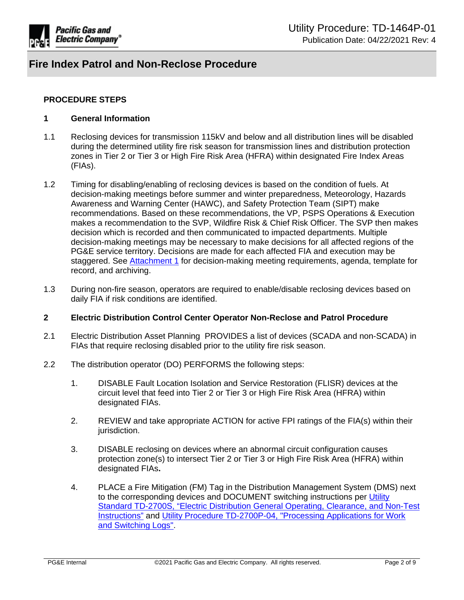

## **PROCEDURE STEPS**

### <span id="page-1-0"></span>**1 General Information**

- 1.1 Reclosing devices for transmission 115kV and below and all distribution lines will be disabled during the determined utility fire risk season for transmission lines and distribution protection zones in Tier 2 or Tier 3 or High Fire Risk Area (HFRA) within designated Fire Index Areas (FIAs).
- 1.2 Timing for disabling/enabling of reclosing devices is based on the condition of fuels. At decision-making meetings before summer and winter preparedness, Meteorology, Hazards Awareness and Warning Center (HAWC), and Safety Protection Team (SIPT) make recommendations. Based on these recommendations, the VP, PSPS Operations & Execution makes a recommendation to the SVP, Wildfire Risk & Chief Risk Officer. The SVP then makes decision which is recorded and then communicated to impacted departments. Multiple decision-making meetings may be necessary to make decisions for all affected regions of the PG&E service territory. Decisions are made for each affected FIA and execution may be staggered. See [Attachment 1](https://ecmappwlsp01c2.comp.pge.com/TILVIEWER?chronicleId=09131aad8e2ceb1f&vd=false&device=false) for decision-making meeting requirements, agenda, template for record, and archiving.
- 1.3 During non-fire season, operators are required to enable/disable reclosing devices based on daily FIA if risk conditions are identified.

### <span id="page-1-1"></span>**2 Electric Distribution Control Center Operator Non-Reclose and Patrol Procedure**

- 2.1 Electric Distribution Asset Planning PROVIDES a list of devices (SCADA and non-SCADA) in FIAs that require reclosing disabled prior to the utility fire risk season.
- 2.2 The distribution operator (DO) PERFORMS the following steps:
	- 1. DISABLE Fault Location Isolation and Service Restoration (FLISR) devices at the circuit level that feed into Tier 2 or Tier 3 or High Fire Risk Area (HFRA) within designated FIAs.
	- 2. REVIEW and take appropriate ACTION for active FPI ratings of the FIA(s) within their jurisdiction.
	- 3. DISABLE reclosing on devices where an abnormal circuit configuration causes protection zone(s) to intersect Tier 2 or Tier 3 or High Fire Risk Area (HFRA) within designated FIAs**.**
	- 4. PLACE a Fire Mitigation (FM) Tag in the Distribution Management System (DMS) next to the corresponding devices and DOCUMENT switching instructions per [Utility](https://ecmappwlsp01c2.comp.pge.com/TILVIEWER?chronicleId=09131aad80dfd82a&vd=true&device=false)  [Standard TD-2700S, "Electric Distribution General Operating, Clearance, and Non-Test](https://ecmappwlsp01c2.comp.pge.com/TILVIEWER?chronicleId=09131aad80dfd82a&vd=true&device=false)  [Instructions"](https://ecmappwlsp01c2.comp.pge.com/TILVIEWER?chronicleId=09131aad80dfd82a&vd=true&device=false) and [Utility Procedure TD-2700P-04, "Processing Applications for Work](https://ecmappwlsp01c2.comp.pge.com/TILVIEWER?chronicleId=09131aad80e081d2&vd=true&device=false)  [and Switching Logs".](https://ecmappwlsp01c2.comp.pge.com/TILVIEWER?chronicleId=09131aad80e081d2&vd=true&device=false)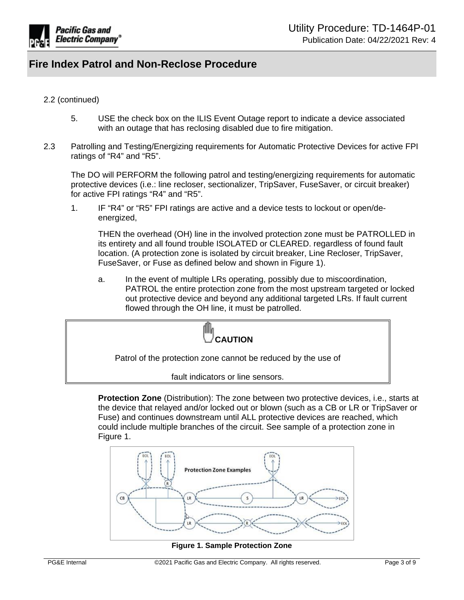

### 2.2 (continued)

- 5. USE the check box on the ILIS Event Outage report to indicate a device associated with an outage that has reclosing disabled due to fire mitigation.
- 2.3 Patrolling and Testing/Energizing requirements for Automatic Protective Devices for active FPI ratings of "R4" and "R5".

The DO will PERFORM the following patrol and testing/energizing requirements for automatic protective devices (i.e.: line recloser, sectionalizer, TripSaver, FuseSaver, or circuit breaker) for active FPI ratings "R4" and "R5".

1. IF "R4" or "R5" FPI ratings are active and a device tests to lockout or open/deenergized,

THEN the overhead (OH) line in the involved protection zone must be PATROLLED in its entirety and all found trouble ISOLATED or CLEARED. regardless of found fault location. (A protection zone is isolated by circuit breaker, Line Recloser, TripSaver, FuseSaver, or Fuse as defined below and shown in Figure 1).

a. In the event of multiple LRs operating, possibly due to miscoordination, PATROL the entire protection zone from the most upstream targeted or locked out protective device and beyond any additional targeted LRs. If fault current flowed through the OH line, it must be patrolled.



**Protection Zone** (Distribution): The zone between two protective devices, i.e., starts at the device that relayed and/or locked out or blown (such as a CB or LR or TripSaver or Fuse) and continues downstream until ALL protective devices are reached, which could include multiple branches of the circuit. See sample of a protection zone in Figure 1.



**Figure 1. Sample Protection Zone**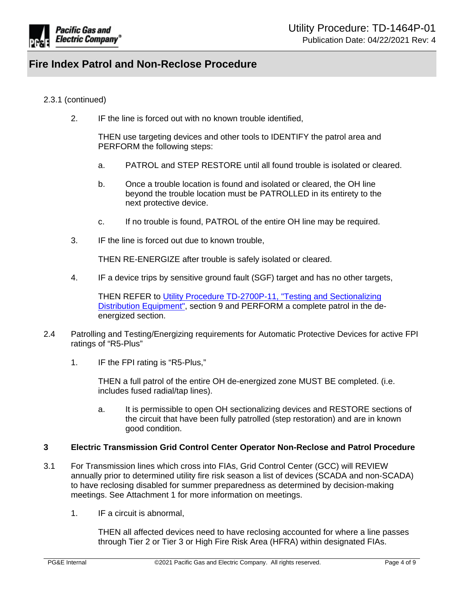

### 2.3.1 (continued)

2. IF the line is forced out with no known trouble identified,

THEN use targeting devices and other tools to IDENTIFY the patrol area and PERFORM the following steps:

- a. PATROL and STEP RESTORE until all found trouble is isolated or cleared.
- b. Once a trouble location is found and isolated or cleared, the OH line beyond the trouble location must be PATROLLED in its entirety to the next protective device.
- c. If no trouble is found, PATROL of the entire OH line may be required.
- 3. IF the line is forced out due to known trouble,

THEN RE-ENERGIZE after trouble is safely isolated or cleared.

4. IF a device trips by sensitive ground fault (SGF) target and has no other targets,

THEN REFER to [Utility Procedure TD-2700P-11, "Testing and Sectionalizing](https://ecmappwlsp01c2.comp.pge.com/TILVIEWER?chronicleId=09131aad80e025d7&vd=true&device=false)  [Distribution Equipment"](https://ecmappwlsp01c2.comp.pge.com/TILVIEWER?chronicleId=09131aad80e025d7&vd=true&device=false), section 9 and PERFORM a complete patrol in the deenergized section.

- 2.4 Patrolling and Testing/Energizing requirements for Automatic Protective Devices for active FPI ratings of "R5-Plus"
	- 1. IF the FPI rating is "R5-Plus,"

THEN a full patrol of the entire OH de-energized zone MUST BE completed. (i.e. includes fused radial/tap lines).

a. It is permissible to open OH sectionalizing devices and RESTORE sections of the circuit that have been fully patrolled (step restoration) and are in known good condition.

### <span id="page-3-0"></span>**3 Electric Transmission Grid Control Center Operator Non-Reclose and Patrol Procedure**

- 3.1 For Transmission lines which cross into FIAs, Grid Control Center (GCC) will REVIEW annually prior to determined utility fire risk season a list of devices (SCADA and non-SCADA) to have reclosing disabled for summer preparedness as determined by decision-making meetings. See Attachment 1 for more information on meetings.
	- 1. IF a circuit is abnormal,

THEN all affected devices need to have reclosing accounted for where a line passes through Tier 2 or Tier 3 or High Fire Risk Area (HFRA) within designated FIAs.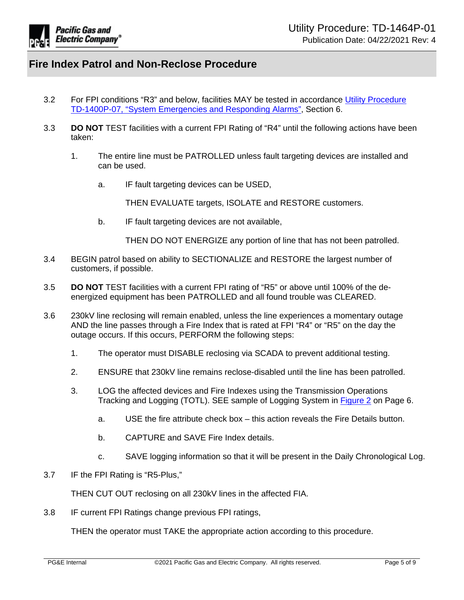

- 3.2 For FPI conditions "R3" and below, facilities MAY be tested in accordance [Utility Procedure](https://ecmappwlsp01c2.comp.pge.com/TILVIEWER?chronicleId=09131aad86372a1c&vd=true&device=false)  [TD-1400P-07, "System Emergencies and Responding Alarms"](https://ecmappwlsp01c2.comp.pge.com/TILVIEWER?chronicleId=09131aad86372a1c&vd=true&device=false), Section 6.
- 3.3 **DO NOT** TEST facilities with a current FPI Rating of "R4" until the following actions have been taken:
	- 1. The entire line must be PATROLLED unless fault targeting devices are installed and can be used.
		- a. IF fault targeting devices can be USED,

THEN EVALUATE targets, ISOLATE and RESTORE customers.

b. IF fault targeting devices are not available,

THEN DO NOT ENERGIZE any portion of line that has not been patrolled.

- 3.4 BEGIN patrol based on ability to SECTIONALIZE and RESTORE the largest number of customers, if possible.
- 3.5 **DO NOT** TEST facilities with a current FPI rating of "R5" or above until 100% of the deenergized equipment has been PATROLLED and all found trouble was CLEARED.
- 3.6 230kV line reclosing will remain enabled, unless the line experiences a momentary outage AND the line passes through a Fire Index that is rated at FPI "R4" or "R5" on the day the outage occurs. If this occurs, PERFORM the following steps:
	- 1. The operator must DISABLE reclosing via SCADA to prevent additional testing.
	- 2. ENSURE that 230kV line remains reclose-disabled until the line has been patrolled.
	- 3. LOG the affected devices and Fire Indexes using the Transmission Operations Tracking and Logging (TOTL). SEE sample of Logging System in [Figure 2](#page-5-0) on Page 6.
		- a. USE the fire attribute check box this action reveals the Fire Details button.
		- b. CAPTURE and SAVE Fire Index details.
		- c. SAVE logging information so that it will be present in the Daily Chronological Log.
- 3.7 IF the FPI Rating is "R5-Plus,"

THEN CUT OUT reclosing on all 230kV lines in the affected FIA.

3.8 IF current FPI Ratings change previous FPI ratings,

THEN the operator must TAKE the appropriate action according to this procedure.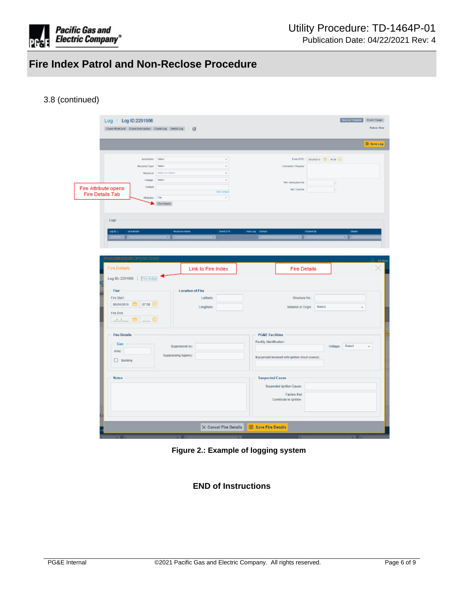

# <span id="page-5-0"></span>3.8 (continued)

|                                | Log   Log ID:2291906<br>Create WorkCard Create Internation Create Log Switch Log : 0 |                                   |                                         |                            |                                                 |                                   | Seve as Template<br>Ernell / Epoge<br><b>Status: New</b> |
|--------------------------------|--------------------------------------------------------------------------------------|-----------------------------------|-----------------------------------------|----------------------------|-------------------------------------------------|-----------------------------------|----------------------------------------------------------|
|                                |                                                                                      |                                   |                                         |                            |                                                 |                                   |                                                          |
|                                |                                                                                      |                                   |                                         |                            |                                                 |                                   | Save Log                                                 |
|                                | Jurisdiction <sup>2</sup> Select                                                     |                                   | $\sim$                                  |                            |                                                 | EventDTS: 05/24/2010 (28 07:58 4) |                                                          |
|                                | Resource Type* Select                                                                |                                   | $\scriptstyle\rm v$                     |                            | Comments / Purpose                              |                                   |                                                          |
|                                |                                                                                      | <b>Nesource:</b> Selection Option | $\cdot$                                 |                            |                                                 |                                   |                                                          |
|                                | Valuga?                                                                              | Soloct                            | ٠                                       |                            | Ref. Interruption No.                           |                                   |                                                          |
| Fire Attribute opens           | Contact                                                                              |                                   | Add Contact                             |                            | Ref. Card No.                                   |                                   |                                                          |
| <b>Fire Details Tab</b>        | Atributes Fire                                                                       |                                   | $\tau$                                  |                            |                                                 |                                   |                                                          |
|                                |                                                                                      | Fire Details                      |                                         |                            |                                                 |                                   |                                                          |
|                                |                                                                                      |                                   |                                         |                            |                                                 |                                   |                                                          |
| Logs                           |                                                                                      |                                   |                                         |                            |                                                 |                                   |                                                          |
| Log ID &                       | <b>Airsdiction</b>                                                                   |                                   | <b>Resource Name</b><br><b>ENVILOTS</b> | Auto Log Contact           | Created By                                      |                                   | <b>Dotata</b>                                            |
| . .                            |                                                                                      | . .                               | m                                       |                            | x F                                             |                                   | $\times$ 0                                               |
|                                |                                                                                      |                                   |                                         |                            |                                                 |                                   |                                                          |
|                                |                                                                                      |                                   |                                         |                            |                                                 |                                   |                                                          |
| <b>TRANSMISSION OPERATIONS</b> |                                                                                      |                                   |                                         |                            |                                                 |                                   |                                                          |
| <b>Fire Details</b>            |                                                                                      |                                   | Link to Fire Index                      |                            | <b>Fire Details</b>                             |                                   |                                                          |
|                                |                                                                                      |                                   |                                         |                            |                                                 |                                   |                                                          |
|                                | Log ID: 2291906   Fire Index                                                         |                                   |                                         |                            |                                                 |                                   |                                                          |
|                                |                                                                                      |                                   |                                         |                            |                                                 |                                   |                                                          |
| Fire*                          |                                                                                      |                                   | <b>Location of Fire</b>                 |                            |                                                 |                                   |                                                          |
| Fire Start:                    |                                                                                      |                                   | Lattude:                                |                            | Structure No.:                                  |                                   |                                                          |
|                                | 05/24/2019 曲 07:58 ①                                                                 |                                   |                                         |                            |                                                 |                                   |                                                          |
| Fire End:                      |                                                                                      |                                   | Longitude:                              |                            | Msterial at Origin:                             | Select                            |                                                          |
|                                |                                                                                      |                                   |                                         |                            |                                                 |                                   |                                                          |
|                                | 11 茴 二〇                                                                              |                                   |                                         |                            |                                                 |                                   |                                                          |
| <b>Fire Details</b>            |                                                                                      |                                   |                                         | <b>PG&amp;E Facilities</b> |                                                 |                                   |                                                          |
|                                |                                                                                      |                                   |                                         | Facility Identification.*  |                                                 |                                   |                                                          |
| Size                           |                                                                                      |                                   | Suppressed by:                          |                            |                                                 | Voltage: Select                   | $\scriptstyle\star$                                      |
| Area:                          |                                                                                      | Suppressing Agency:               |                                         |                            | Equipment involved with ignition (heat source): |                                   |                                                          |
| $\Box$ Building                |                                                                                      |                                   |                                         |                            |                                                 |                                   |                                                          |
|                                |                                                                                      |                                   |                                         |                            |                                                 |                                   |                                                          |
| <b>Notes</b>                   |                                                                                      |                                   |                                         | <b>Suspected Cause</b>     |                                                 |                                   |                                                          |
|                                |                                                                                      |                                   |                                         |                            | Suspected Ignition Cause:                       |                                   |                                                          |
|                                |                                                                                      |                                   |                                         |                            | <b>Factors that</b>                             |                                   |                                                          |
|                                |                                                                                      |                                   |                                         |                            | Contribute to ignition:                         |                                   |                                                          |
|                                |                                                                                      |                                   |                                         |                            |                                                 |                                   |                                                          |
|                                |                                                                                      |                                   |                                         |                            |                                                 |                                   |                                                          |
|                                |                                                                                      |                                   | $\times$ Cancel Fire Details            | Save Fire Details          |                                                 |                                   |                                                          |

**Figure 2.: Example of logging system**

# **END of Instructions**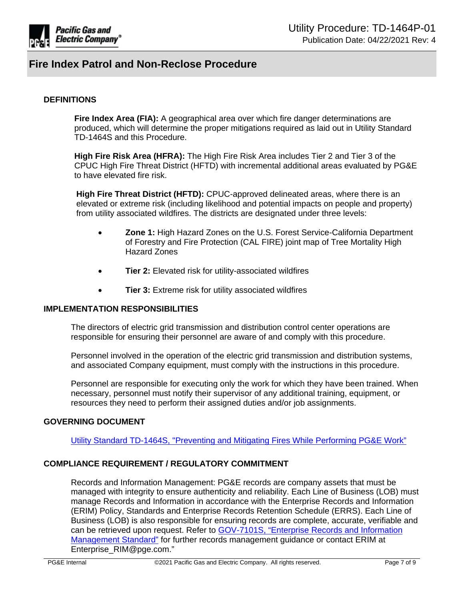

### **DEFINITIONS**

**Fire Index Area (FIA):** A geographical area over which fire danger determinations are produced, which will determine the proper mitigations required as laid out in Utility Standard TD-1464S and this Procedure.

**High Fire Risk Area (HFRA):** The High Fire Risk Area includes Tier 2 and Tier 3 of the CPUC High Fire Threat District (HFTD) with incremental additional areas evaluated by PG&E to have elevated fire risk.

**High Fire Threat District (HFTD):** CPUC-approved delineated areas, where there is an elevated or extreme risk (including likelihood and potential impacts on people and property) from utility associated wildfires. The districts are designated under three levels:

- **Zone 1:** High Hazard Zones on the U.S. Forest Service-California Department of Forestry and Fire Protection (CAL FIRE) joint map of Tree Mortality High Hazard Zones
- **Tier 2:** Elevated risk for utility-associated wildfires
- **Tier 3:** Extreme risk for utility associated wildfires

### **IMPLEMENTATION RESPONSIBILITIES**

The directors of electric grid transmission and distribution control center operations are responsible for ensuring their personnel are aware of and comply with this procedure.

Personnel involved in the operation of the electric grid transmission and distribution systems, and associated Company equipment, must comply with the instructions in this procedure.

Personnel are responsible for executing only the work for which they have been trained. When necessary, personnel must notify their supervisor of any additional training, equipment, or resources they need to perform their assigned duties and/or job assignments.

### **GOVERNING DOCUMENT**

[Utility Standard TD-1464S, "Preventing and Mitigating Fires While Performing PG&E Work"](https://ecmappwlsp01c2.comp.pge.com/TILVIEWER?chronicleId=09131aad80e0659e&vd=true&device=false)

### **COMPLIANCE REQUIREMENT / REGULATORY COMMITMENT**

Records and Information Management: PG&E records are company assets that must be managed with integrity to ensure authenticity and reliability. Each Line of Business (LOB) must manage Records and Information in accordance with the Enterprise Records and Information (ERIM) Policy, Standards and Enterprise Records Retention Schedule (ERRS). Each Line of Business (LOB) is also responsible for ensuring records are complete, accurate, verifiable and can be retrieved upon request. Refer to [GOV-7101S, "Enterprise Records and Information](file:///C://Users/C5B9/AppData/Local/Packages/Microsoft.MicrosoftEdge_8wekyb3d8bbwe/TempState/Downloads/GOV-7101_GOV-7101+Records+Management+Standard%2520(1).pdf)  [Management Standard"](file:///C://Users/C5B9/AppData/Local/Packages/Microsoft.MicrosoftEdge_8wekyb3d8bbwe/TempState/Downloads/GOV-7101_GOV-7101+Records+Management+Standard%2520(1).pdf) for further records management guidance or contact ERIM at Enterprise\_RIM@pge.com."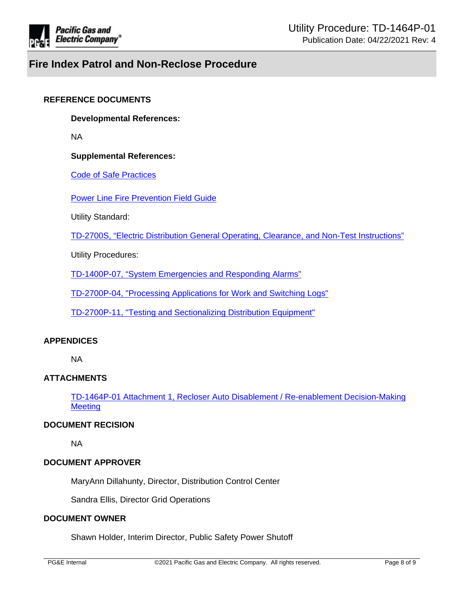

### **REFERENCE DOCUMENTS**

**Developmental References:**

NA

### **Supplemental References:**

[Code of Safe Practices](http://pgeweb.utility.pge.com/safety/)

[Power Line Fire Prevention Field Guide](https://osfm.fire.ca.gov/media/8482/fppguidepdf126.pdf)

Utility Standard:

[TD-2700S, "Electric Distribution General Operating, Clearance, and Non-Test Instructions"](https://ecmappwlsp01c2.comp.pge.com/TILVIEWER?chronicleId=09131aad80dfd82a&vd=true&device=false)

Utility Procedures:

[TD-1400P-07, "System Emergencies and Responding Alarms"](https://ecmappwlsp01c2.comp.pge.com/TILVIEWER?chronicleId=09131aad86372a1c&vd=true&device=false)

[TD-2700P-04, "Processing Applications for Work and Switching Logs"](https://ecmappwlsp01c2.comp.pge.com/TILVIEWER?chronicleId=09131aad80e081d2&vd=true&device=false)

[TD-2700P-11, "Testing and Sectionalizing Distribution Equipment"](https://ecmappwlsp01c2.comp.pge.com/TILVIEWER?chronicleId=09131aad80e025d7&vd=true&device=false)

### **APPENDICES**

NA

# **ATTACHMENTS**

[TD-1464P-01 Attachment 1, Recloser Auto Disablement / Re-enablement Decision-Making](https://ecmappwlsp01c2.comp.pge.com/TILVIEWER?chronicleId=09131aad8e2ceb1f&vd=false&device=false)  **[Meeting](https://ecmappwlsp01c2.comp.pge.com/TILVIEWER?chronicleId=09131aad8e2ceb1f&vd=false&device=false)** 

### **DOCUMENT RECISION**

NA

# **DOCUMENT APPROVER**

MaryAnn Dillahunty, Director, Distribution Control Center

Sandra Ellis, Director Grid Operations

# **DOCUMENT OWNER**

Shawn Holder, Interim Director, Public Safety Power Shutoff